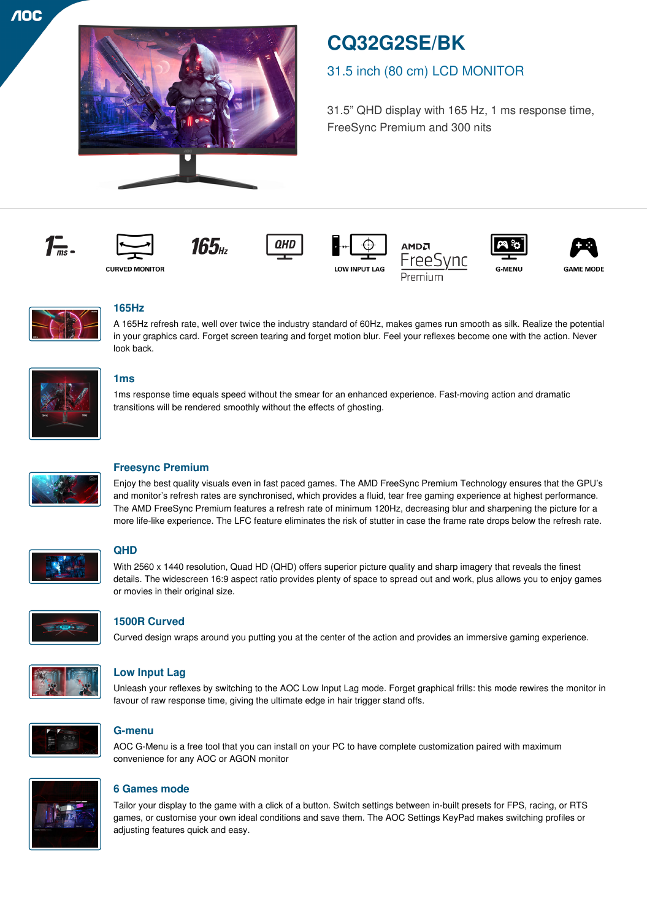

# **CQ32G2SE/BK**

## 31.5 inch (80 cm) LCD MONITOR

31.5" QHD display with 165 Hz, 1 ms response time, FreeSync Premium and 300 nits



















**GAME MODE** 



## **165Hz**

A 165Hz refresh rate, well over twice the industry standard of 60Hz, makes games run smooth as silk. Realize the potential in your graphics card. Forget screen tearing and forget motion blur. Feel your reflexes become one with the action. Never look back.



## **1ms**

1ms response time equals speed without the smear for an enhanced experience. Fast-moving action and dramatic transitions will be rendered smoothly without the effects of ghosting.



## **Freesync Premium**

Enjoy the best quality visuals even in fast paced games. The AMD FreeSync Premium Technology ensures that the GPU's and monitor's refresh rates are synchronised, which provides a fluid, tear free gaming experience at highest performance. The AMD FreeSync Premium features a refresh rate of minimum 120Hz, decreasing blur and sharpening the picture for a more life-like experience. The LFC feature eliminates the risk of stutter in case the frame rate drops below the refresh rate.



## **QHD**

With 2560 x 1440 resolution, Quad HD (QHD) offers superior picture quality and sharp imagery that reveals the finest details. The widescreen 16:9 aspect ratio provides plenty of space to spread out and work, plus allows you to enjoy games or movies in their original size.



## **1500R Curved**

Curved design wraps around you putting you at the center of the action and provides an immersive gaming experience.



## **Low Input Lag**

Unleash your reflexes by switching to the AOC Low Input Lag mode. Forget graphical frills: this mode rewires the monitor in favour of raw response time, giving the ultimate edge in hair trigger stand offs.



## **G-menu**

AOC G-Menu is a free tool that you can install on your PC to have complete customization paired with maximum convenience for any AOC or AGON monitor



## **6 Games mode**

Tailor your display to the game with a click of a button. Switch settings between in-built presets for FPS, racing, or RTS games, or customise your own ideal conditions and save them. The AOC Settings KeyPad makes switching profiles or adjusting features quick and easy.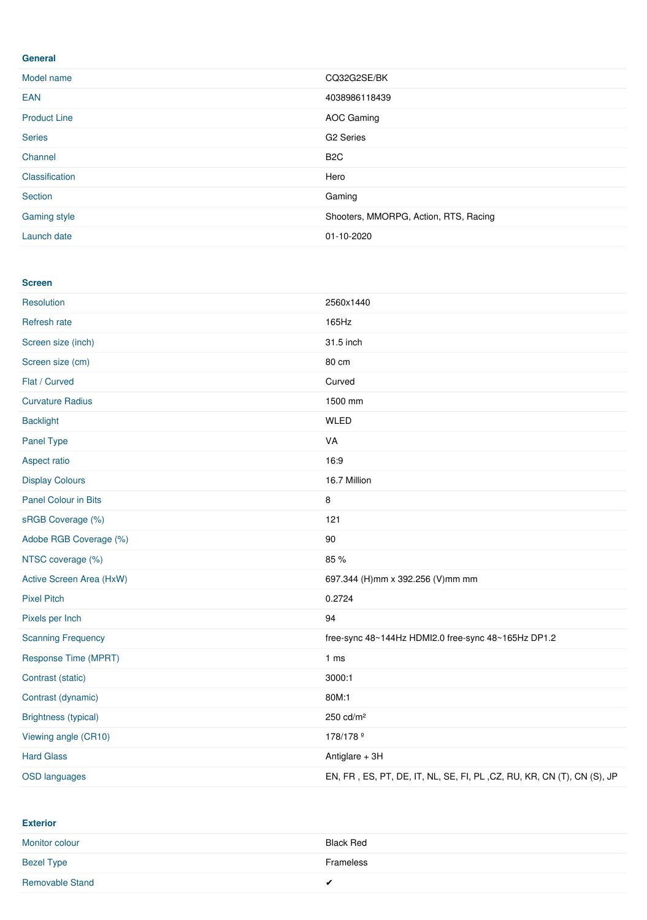#### **General**

| Model name          | CQ32G2SE/BK                           |
|---------------------|---------------------------------------|
| <b>EAN</b>          | 4038986118439                         |
| <b>Product Line</b> | AOC Gaming                            |
| <b>Series</b>       | G <sub>2</sub> Series                 |
| Channel             | B <sub>2</sub> C                      |
| Classification      | Hero                                  |
| Section             | Gaming                                |
| <b>Gaming style</b> | Shooters, MMORPG, Action, RTS, Racing |
| Launch date         | 01-10-2020                            |

#### **Screen**

| Resolution                  | 2560x1440                                                              |
|-----------------------------|------------------------------------------------------------------------|
| Refresh rate                | 165Hz                                                                  |
| Screen size (inch)          | 31.5 inch                                                              |
| Screen size (cm)            | 80 cm                                                                  |
| Flat / Curved               | Curved                                                                 |
| <b>Curvature Radius</b>     | 1500 mm                                                                |
| <b>Backlight</b>            | <b>WLED</b>                                                            |
| Panel Type                  | VA                                                                     |
| Aspect ratio                | 16:9                                                                   |
| <b>Display Colours</b>      | 16.7 Million                                                           |
| <b>Panel Colour in Bits</b> | 8                                                                      |
| sRGB Coverage (%)           | 121                                                                    |
| Adobe RGB Coverage (%)      | $90\,$                                                                 |
| NTSC coverage (%)           | 85 %                                                                   |
| Active Screen Area (HxW)    | 697.344 (H)mm x 392.256 (V)mm mm                                       |
| <b>Pixel Pitch</b>          | 0.2724                                                                 |
| Pixels per Inch             | 94                                                                     |
| <b>Scanning Frequency</b>   | free-sync 48~144Hz HDMI2.0 free-sync 48~165Hz DP1.2                    |
| Response Time (MPRT)        | 1 <sub>ms</sub>                                                        |
| Contrast (static)           | 3000:1                                                                 |
| Contrast (dynamic)          | 80M:1                                                                  |
| <b>Brightness (typical)</b> | 250 cd/m <sup>2</sup>                                                  |
| Viewing angle (CR10)        | 178/178 <sup>°</sup>                                                   |
| <b>Hard Glass</b>           | Antiglare + 3H                                                         |
| <b>OSD languages</b>        | EN, FR, ES, PT, DE, IT, NL, SE, FI, PL, CZ, RU, KR, CN (T), CN (S), JP |

## **Exterior**

| Monitor colour         | Black Red |
|------------------------|-----------|
| <b>Bezel Type</b>      | Frameless |
| <b>Removable Stand</b> | ◢         |